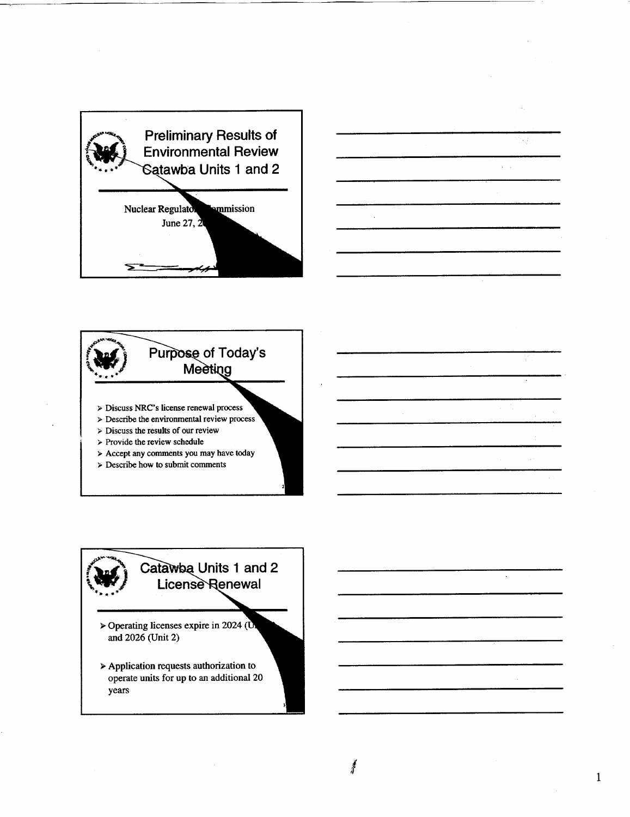



 $\overline{\mathbb{R}}$ 

 $\mathbf{1}$ 



- $\triangleright$  Describe the environmental review process
- $\triangleright$  Discuss the results of our review
- $>$  Provide the review schedule
- > Accept any comments you may have today
- > Describe how to submit comments

## Catawba Units 1 and 2 **License Renewal**

- > Operating licenses expire in 2024 ( $\overline{0}$ and 2026 (Unit 2)
- > Application requests authorization to operate units for up to an additional 20 years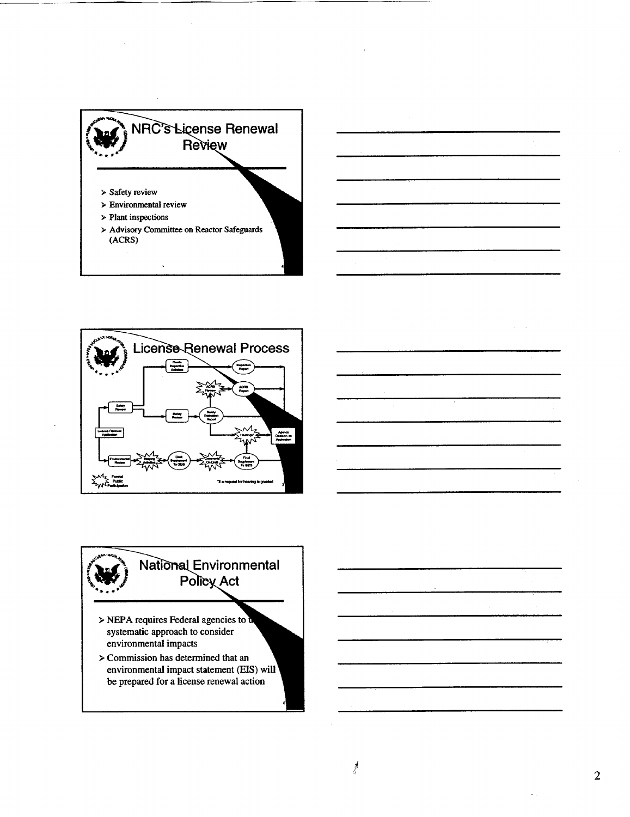







 $\alpha = 1/\alpha$  .

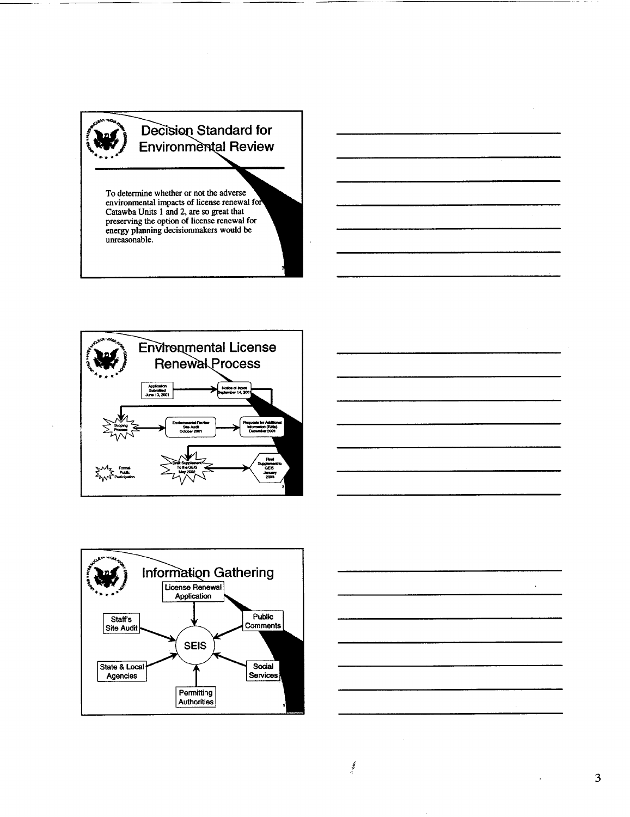

To determine whether or not the adverse environmental impacts of license renewal for **example** Catawba Units 1 and 2, are so great that preserving the option of license renewal for energy planning decisionmakers would be unreasonable.

m







3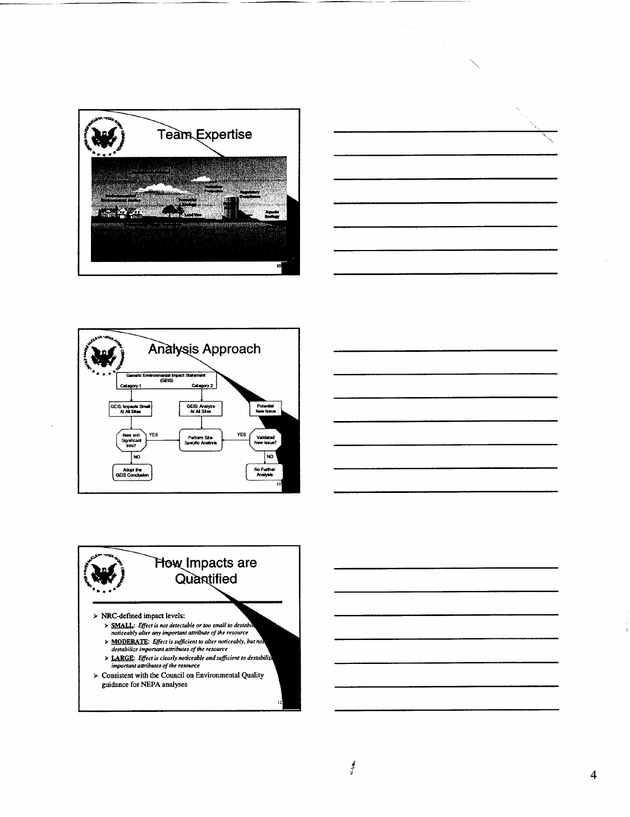







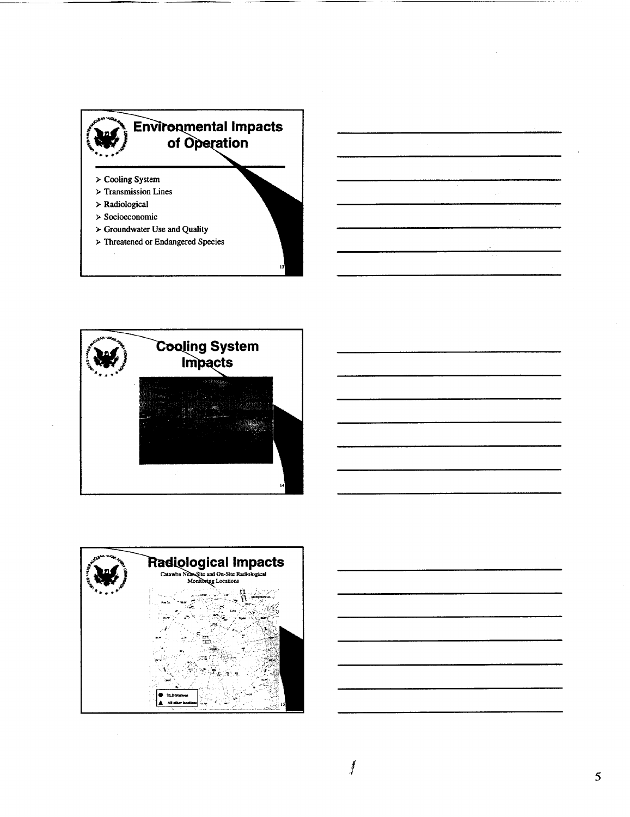



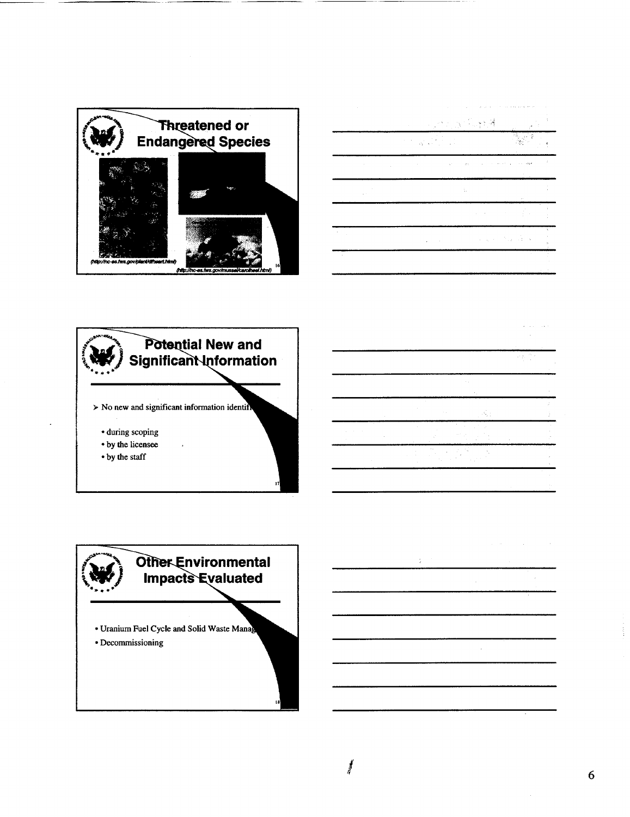

|                                                     | $\gamma$ is a set of $\gamma$<br>and the control of                     |                                             |
|-----------------------------------------------------|-------------------------------------------------------------------------|---------------------------------------------|
|                                                     | $\sim$<br>an ang Pa<br>$\mathbf{r} = \mathbf{r}$                        | 南山峰                                         |
| the state of the state of the state of the state of | $\mathcal{A}(\mathcal{A})\neq\mathcal{A}(\mathcal{A})$ .<br>Service Mar | t<br>$\epsilon \rightarrow -\omega t \xi t$ |
| $\mathbb{R}^{n \times n}$                           | ÷.                                                                      | ×.                                          |
|                                                     | the company of the company                                              |                                             |
| $\mathcal{F} = \{x_i\}$                             | and the State Association<br>$\mathbf{z} = \mathbf{z}$<br>$\cdot$       | ÷.<br>×.                                    |
| <b>Contract</b>                                     |                                                                         |                                             |

t.

 $\mathcal{L}$ 

المالكات والمعادي

 $\epsilon$  (s).



## Other Environmental **Impacts Evaluated**

- Uranium Fuel Cycle and Solid Waste Manag
- Decommissioning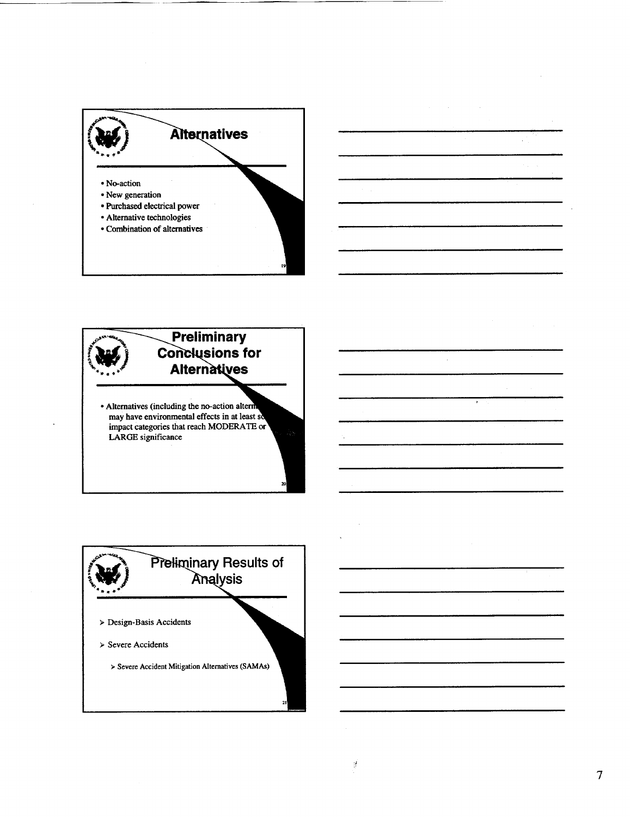

## Preliminary **Conclusions for Alternatives**

• Alternatives (including the no-action altern<br>may have environmental effects in at least so impact categories that reach MODERATE or LARGE significance

## Preliminary Results of Analysis  $\triangleright$  Design-Basis Accidents  $>$  Severe Accidents > Severe Accident Mitigation Alternatives (SAMAs)

 $\tau$ 

 $\frac{1}{2}$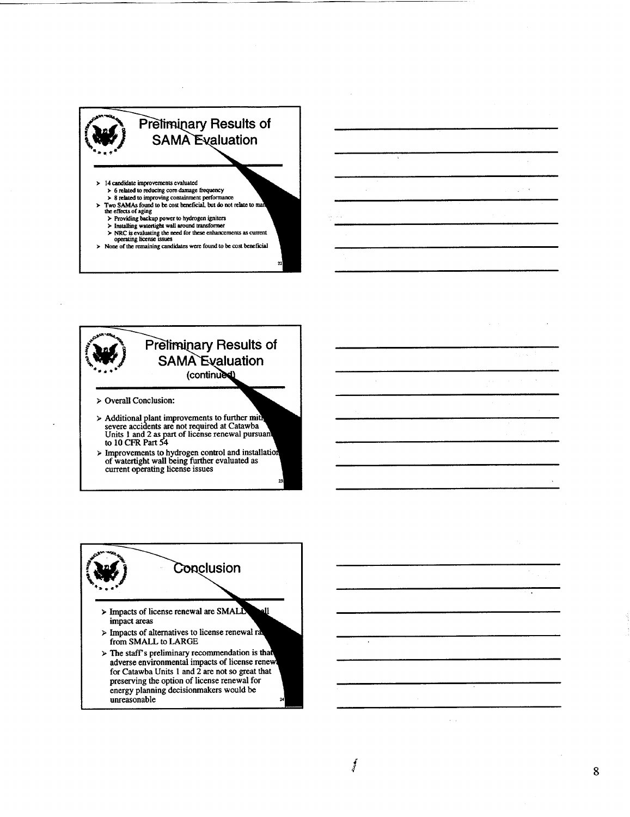



**>** Improvements to hydrogen control and installa of watertight wall being further evaluated as current operating license issues



*I*

 $\epsilon = 1$ 

 $\varphi^{(1)}$  ,  $\varphi$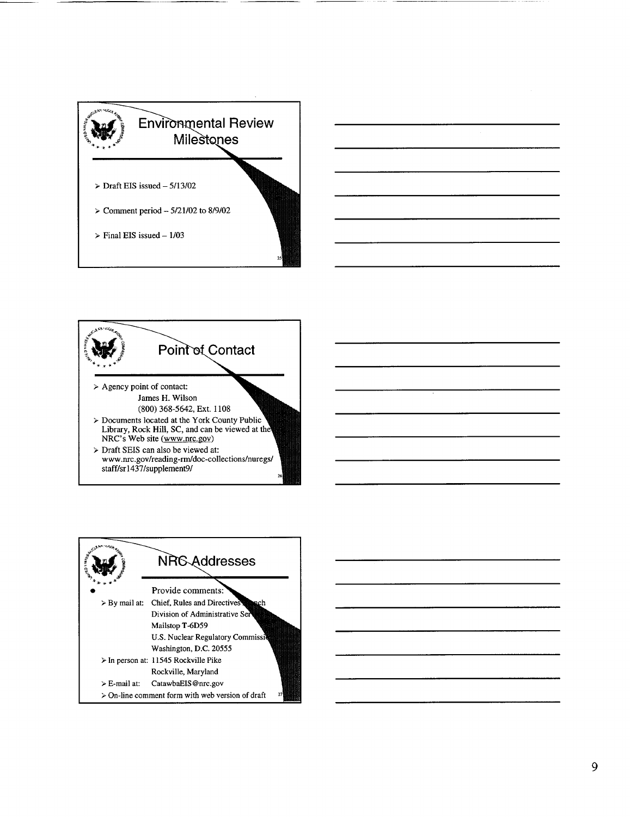